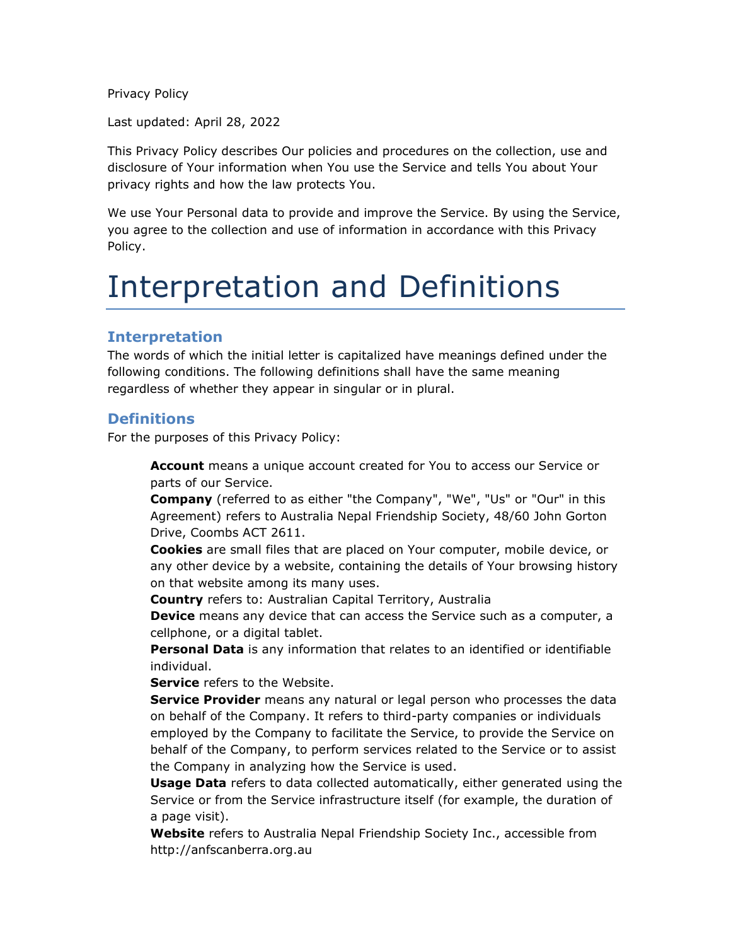Privacy Policy

Last updated: April 28, 2022

This Privacy Policy describes Our policies and procedures on the collection, use and disclosure of Your information when You use the Service and tells You about Your privacy rights and how the law protects You.

We use Your Personal data to provide and improve the Service. By using the Service, you agree to the collection and use of information in accordance with this Privacy Policy.

# Interpretation and Definitions

## **Interpretation**

The words of which the initial letter is capitalized have meanings defined under the following conditions. The following definitions shall have the same meaning regardless of whether they appear in singular or in plural.

## **Definitions**

For the purposes of this Privacy Policy:

**Account** means a unique account created for You to access our Service or parts of our Service.

**Company** (referred to as either "the Company", "We", "Us" or "Our" in this Agreement) refers to Australia Nepal Friendship Society, 48/60 John Gorton Drive, Coombs ACT 2611.

**Cookies** are small files that are placed on Your computer, mobile device, or any other device by a website, containing the details of Your browsing history on that website among its many uses.

**Country** refers to: Australian Capital Territory, Australia

**Device** means any device that can access the Service such as a computer, a cellphone, or a digital tablet.

**Personal Data** is any information that relates to an identified or identifiable individual.

**Service** refers to the Website.

**Service Provider** means any natural or legal person who processes the data on behalf of the Company. It refers to third-party companies or individuals employed by the Company to facilitate the Service, to provide the Service on behalf of the Company, to perform services related to the Service or to assist the Company in analyzing how the Service is used.

**Usage Data** refers to data collected automatically, either generated using the Service or from the Service infrastructure itself (for example, the duration of a page visit).

**Website** refers to Australia Nepal Friendship Society Inc., accessible from [http://anfscanberra.org.au](http://anfscanberra.org.au/)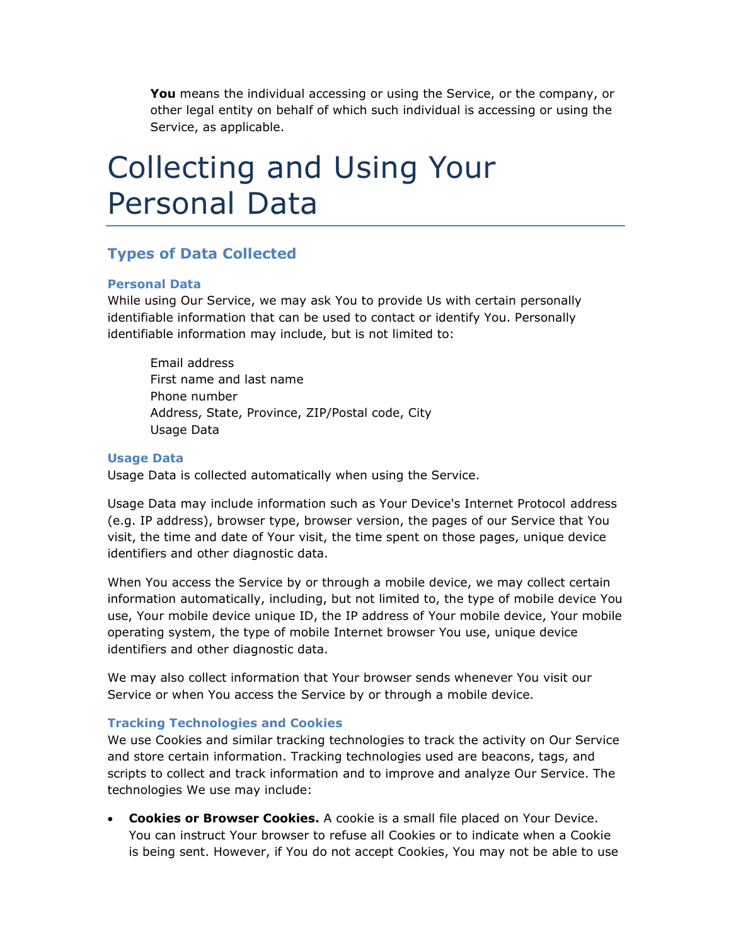**You** means the individual accessing or using the Service, or the company, or other legal entity on behalf of which such individual is accessing or using the Service, as applicable.

## Collecting and Using Your Personal Data

## **Types of Data Collected**

#### **Personal Data**

While using Our Service, we may ask You to provide Us with certain personally identifiable information that can be used to contact or identify You. Personally identifiable information may include, but is not limited to:

Email address First name and last name Phone number Address, State, Province, ZIP/Postal code, City Usage Data

#### **Usage Data**

Usage Data is collected automatically when using the Service.

Usage Data may include information such as Your Device's Internet Protocol address (e.g. IP address), browser type, browser version, the pages of our Service that You visit, the time and date of Your visit, the time spent on those pages, unique device identifiers and other diagnostic data.

When You access the Service by or through a mobile device, we may collect certain information automatically, including, but not limited to, the type of mobile device You use, Your mobile device unique ID, the IP address of Your mobile device, Your mobile operating system, the type of mobile Internet browser You use, unique device identifiers and other diagnostic data.

We may also collect information that Your browser sends whenever You visit our Service or when You access the Service by or through a mobile device.

#### **Tracking Technologies and Cookies**

We use Cookies and similar tracking technologies to track the activity on Our Service and store certain information. Tracking technologies used are beacons, tags, and scripts to collect and track information and to improve and analyze Our Service. The technologies We use may include:

• **Cookies or Browser Cookies.** A cookie is a small file placed on Your Device. You can instruct Your browser to refuse all Cookies or to indicate when a Cookie is being sent. However, if You do not accept Cookies, You may not be able to use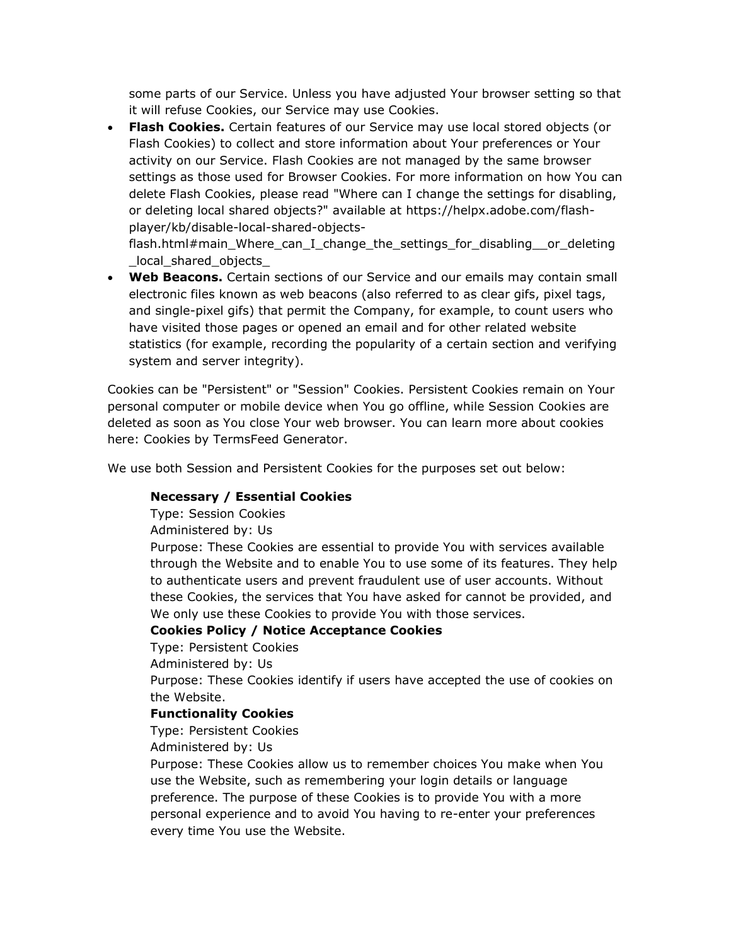some parts of our Service. Unless you have adjusted Your browser setting so that it will refuse Cookies, our Service may use Cookies.

• **Flash Cookies.** Certain features of our Service may use local stored objects (or Flash Cookies) to collect and store information about Your preferences or Your activity on our Service. Flash Cookies are not managed by the same browser settings as those used for Browser Cookies. For more information on how You can delete Flash Cookies, please read "Where can I change the settings for disabling, or deleting local shared objects?" available at [https://helpx.adobe.com/flash](https://helpx.adobe.com/flash-player/kb/disable-local-shared-objects-flash.html#main_Where_can_I_change_the_settings_for_disabling__or_deleting_local_shared_objects_)[player/kb/disable-local-shared-objects-](https://helpx.adobe.com/flash-player/kb/disable-local-shared-objects-flash.html#main_Where_can_I_change_the_settings_for_disabling__or_deleting_local_shared_objects_)

flash.html#main Where can I change the settings for disabling or deleting local shared objects

• **Web Beacons.** Certain sections of our Service and our emails may contain small electronic files known as web beacons (also referred to as clear gifs, pixel tags, and single-pixel gifs) that permit the Company, for example, to count users who have visited those pages or opened an email and for other related website statistics (for example, recording the popularity of a certain section and verifying system and server integrity).

Cookies can be "Persistent" or "Session" Cookies. Persistent Cookies remain on Your personal computer or mobile device when You go offline, while Session Cookies are deleted as soon as You close Your web browser. You can learn more about cookies here: [Cookies by TermsFeed Generator.](https://www.termsfeed.com/privacy-policy-generator/#faq-8)

We use both Session and Persistent Cookies for the purposes set out below:

### **Necessary / Essential Cookies**

Type: Session Cookies

Administered by: Us

Purpose: These Cookies are essential to provide You with services available through the Website and to enable You to use some of its features. They help to authenticate users and prevent fraudulent use of user accounts. Without these Cookies, the services that You have asked for cannot be provided, and We only use these Cookies to provide You with those services.

### **Cookies Policy / Notice Acceptance Cookies**

Type: Persistent Cookies

Administered by: Us

Purpose: These Cookies identify if users have accepted the use of cookies on the Website.

### **Functionality Cookies**

Type: Persistent Cookies

#### Administered by: Us

Purpose: These Cookies allow us to remember choices You make when You use the Website, such as remembering your login details or language preference. The purpose of these Cookies is to provide You with a more personal experience and to avoid You having to re-enter your preferences every time You use the Website.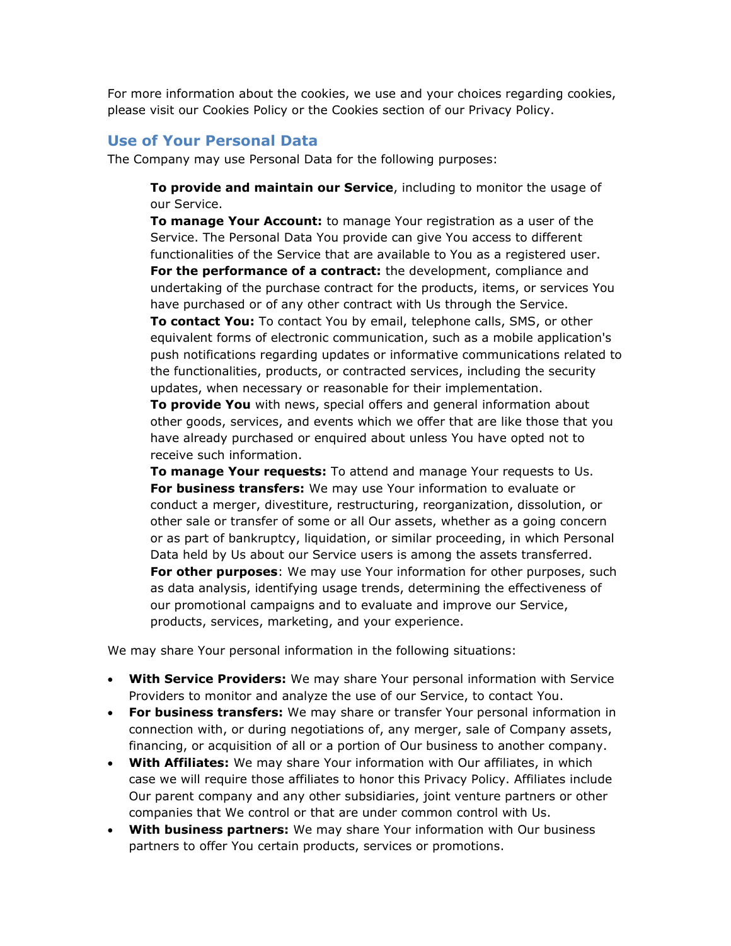For more information about the cookies, we use and your choices regarding cookies, please visit our Cookies Policy or the Cookies section of our Privacy Policy.

## **Use of Your Personal Data**

The Company may use Personal Data for the following purposes:

**To provide and maintain our Service**, including to monitor the usage of our Service.

**To manage Your Account:** to manage Your registration as a user of the Service. The Personal Data You provide can give You access to different functionalities of the Service that are available to You as a registered user. **For the performance of a contract:** the development, compliance and undertaking of the purchase contract for the products, items, or services You have purchased or of any other contract with Us through the Service.

**To contact You:** To contact You by email, telephone calls, SMS, or other equivalent forms of electronic communication, such as a mobile application's push notifications regarding updates or informative communications related to the functionalities, products, or contracted services, including the security updates, when necessary or reasonable for their implementation.

**To provide You** with news, special offers and general information about other goods, services, and events which we offer that are like those that you have already purchased or enquired about unless You have opted not to receive such information.

**To manage Your requests:** To attend and manage Your requests to Us. **For business transfers:** We may use Your information to evaluate or conduct a merger, divestiture, restructuring, reorganization, dissolution, or other sale or transfer of some or all Our assets, whether as a going concern or as part of bankruptcy, liquidation, or similar proceeding, in which Personal Data held by Us about our Service users is among the assets transferred. **For other purposes**: We may use Your information for other purposes, such as data analysis, identifying usage trends, determining the effectiveness of our promotional campaigns and to evaluate and improve our Service, products, services, marketing, and your experience.

We may share Your personal information in the following situations:

- **With Service Providers:** We may share Your personal information with Service Providers to monitor and analyze the use of our Service, to contact You.
- **For business transfers:** We may share or transfer Your personal information in connection with, or during negotiations of, any merger, sale of Company assets, financing, or acquisition of all or a portion of Our business to another company.
- **With Affiliates:** We may share Your information with Our affiliates, in which case we will require those affiliates to honor this Privacy Policy. Affiliates include Our parent company and any other subsidiaries, joint venture partners or other companies that We control or that are under common control with Us.
- **With business partners:** We may share Your information with Our business partners to offer You certain products, services or promotions.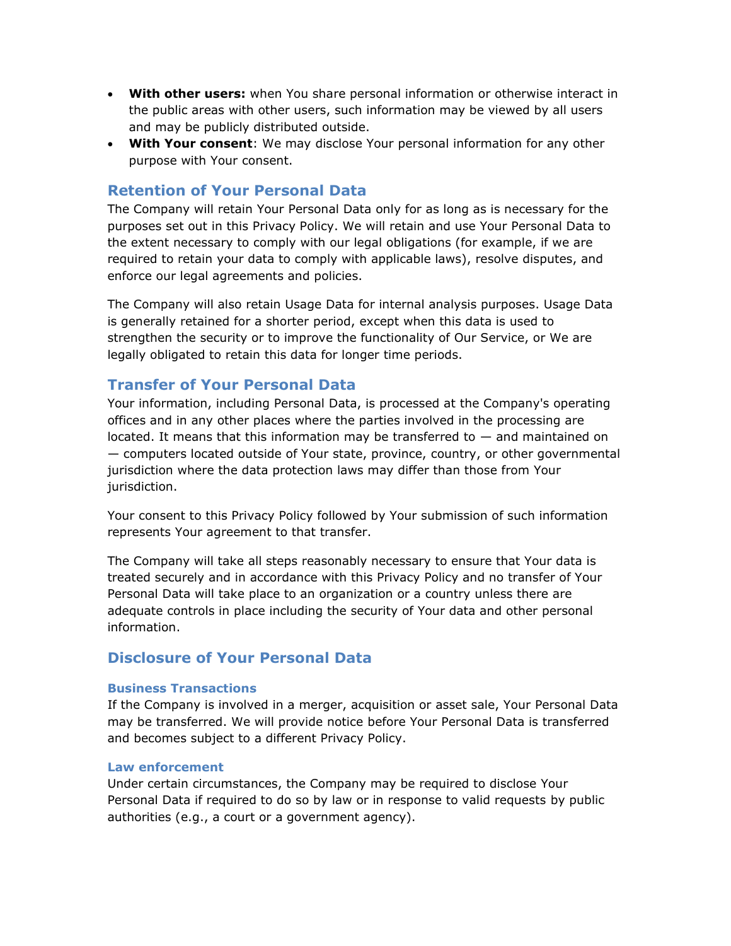- **With other users:** when You share personal information or otherwise interact in the public areas with other users, such information may be viewed by all users and may be publicly distributed outside.
- **With Your consent**: We may disclose Your personal information for any other purpose with Your consent.

## **Retention of Your Personal Data**

The Company will retain Your Personal Data only for as long as is necessary for the purposes set out in this Privacy Policy. We will retain and use Your Personal Data to the extent necessary to comply with our legal obligations (for example, if we are required to retain your data to comply with applicable laws), resolve disputes, and enforce our legal agreements and policies.

The Company will also retain Usage Data for internal analysis purposes. Usage Data is generally retained for a shorter period, except when this data is used to strengthen the security or to improve the functionality of Our Service, or We are legally obligated to retain this data for longer time periods.

## **Transfer of Your Personal Data**

Your information, including Personal Data, is processed at the Company's operating offices and in any other places where the parties involved in the processing are located. It means that this information may be transferred to  $-$  and maintained on — computers located outside of Your state, province, country, or other governmental jurisdiction where the data protection laws may differ than those from Your jurisdiction.

Your consent to this Privacy Policy followed by Your submission of such information represents Your agreement to that transfer.

The Company will take all steps reasonably necessary to ensure that Your data is treated securely and in accordance with this Privacy Policy and no transfer of Your Personal Data will take place to an organization or a country unless there are adequate controls in place including the security of Your data and other personal information.

## **Disclosure of Your Personal Data**

#### **Business Transactions**

If the Company is involved in a merger, acquisition or asset sale, Your Personal Data may be transferred. We will provide notice before Your Personal Data is transferred and becomes subject to a different Privacy Policy.

#### **Law enforcement**

Under certain circumstances, the Company may be required to disclose Your Personal Data if required to do so by law or in response to valid requests by public authorities (e.g., a court or a government agency).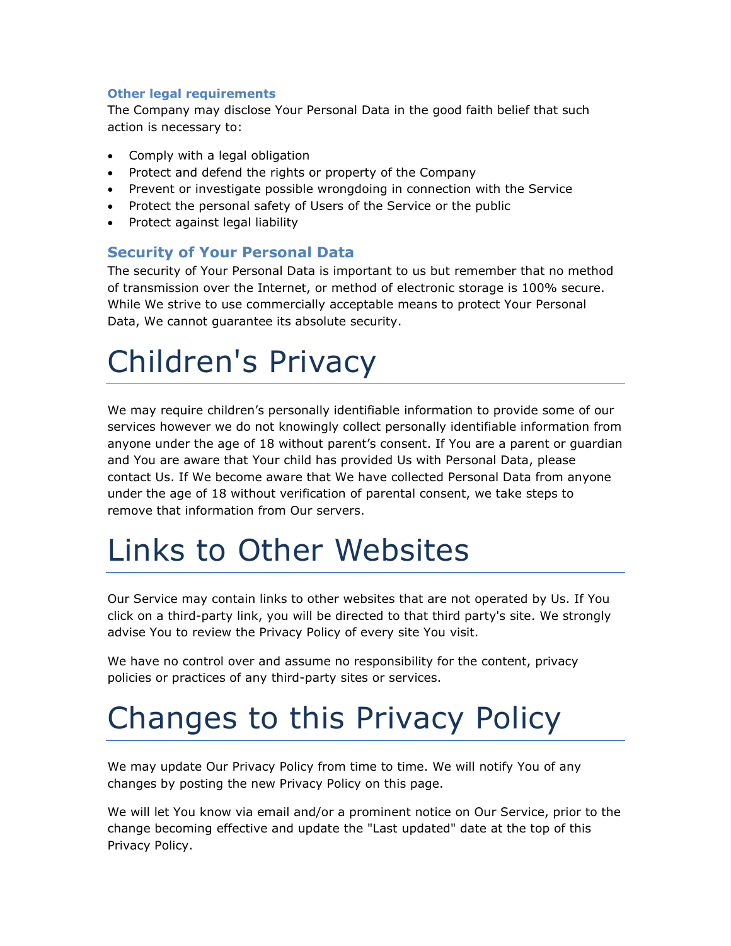#### **Other legal requirements**

The Company may disclose Your Personal Data in the good faith belief that such action is necessary to:

- Comply with a legal obligation
- Protect and defend the rights or property of the Company
- Prevent or investigate possible wrongdoing in connection with the Service
- Protect the personal safety of Users of the Service or the public
- Protect against legal liability

## **Security of Your Personal Data**

The security of Your Personal Data is important to us but remember that no method of transmission over the Internet, or method of electronic storage is 100% secure. While We strive to use commercially acceptable means to protect Your Personal Data, We cannot guarantee its absolute security.

# Children's Privacy

We may require children's personally identifiable information to provide some of our services however we do not knowingly collect personally identifiable information from anyone under the age of 18 without parent's consent. If You are a parent or guardian and You are aware that Your child has provided Us with Personal Data, please contact Us. If We become aware that We have collected Personal Data from anyone under the age of 18 without verification of parental consent, we take steps to remove that information from Our servers.

## Links to Other Websites

Our Service may contain links to other websites that are not operated by Us. If You click on a third-party link, you will be directed to that third party's site. We strongly advise You to review the Privacy Policy of every site You visit.

We have no control over and assume no responsibility for the content, privacy policies or practices of any third-party sites or services.

# Changes to this Privacy Policy

We may update Our Privacy Policy from time to time. We will notify You of any changes by posting the new Privacy Policy on this page.

We will let You know via email and/or a prominent notice on Our Service, prior to the change becoming effective and update the "Last updated" date at the top of this Privacy Policy.